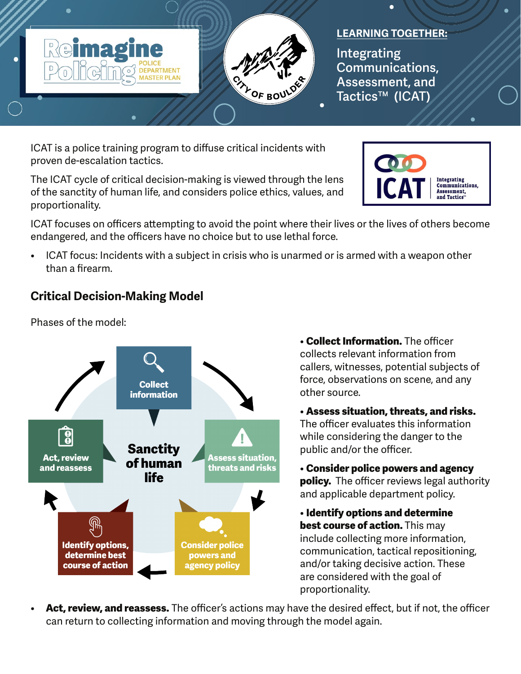

## **LEARNING TOGETHER:**

**Integrating Communications, Assessment, and Tactics™ (ICAT)**

ICAT is a police training program to diffuse critical incidents with proven de-escalation tactics.

The ICAT cycle of critical decision-making is viewed through the lens of the sanctity of human life, and considers police ethics, values, and proportionality.



ICAT focuses on officers attempting to avoid the point where their lives or the lives of others become endangered, and the officers have no choice but to use lethal force.

• ICAT focus: Incidents with a subject in crisis who is unarmed or is armed with a weapon other than a firearm.

## **Critical Decision-Making Model**

Phases of the model:



• **Collect Information.** The officer collects relevant information from callers, witnesses, potential subjects of force, observations on scene, and any other source.

• **Assess situation, threats, and risks.**  The officer evaluates this information while considering the danger to the public and/or the officer.

• **Consider police powers and agency policy.** The officer reviews legal authority and applicable department policy.

• **Identify options and determine best course of action.** This may include collecting more information, communication, tactical repositioning, and/or taking decisive action. These are considered with the goal of proportionality.

• **Act, review, and reassess.** The officer's actions may have the desired effect, but if not, the officer can return to collecting information and moving through the model again.